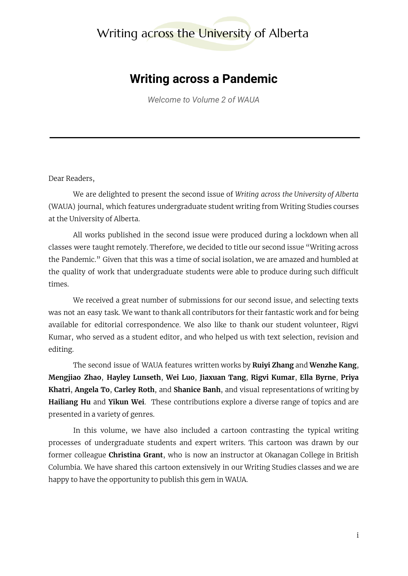## Writing across the University of Alberta

## **Writing across a Pandemic**

*Welcome to Volume 2 of WAUA*

## Dear Readers,

We are delighted to present the second issue of *Writing across the University of Alberta* (WAUA) journal, which features undergraduate student writing from Writing Studies courses at the University of Alberta.

All works published in the second issue were produced during a lockdown when all classes were taught remotely. Therefore, we decided to title our second issue "Writing across the Pandemic." Given that this was a time of social isolation, we are amazed and humbled at the quality of work that undergraduate students were able to produce during such difficult times.

We received a great number of submissions for our second issue, and selecting texts was not an easy task. We want to thank all contributors for their fantastic work and for being available for editorial correspondence. We also like to thank our student volunteer, Rigvi Kumar, who served as a student editor, and who helped us with text selection, revision and editing.

The second issue of WAUA features written works by **Ruiyi Zhang** and **Wenzhe Kang**, **Mengjiao Zhao**, **Hayley Lunseth**, **Wei Luo**, **Jiaxuan Tang**, **Rigvi Kumar**, **Ella Byrne**, **Priya Khatri**, **Angela To**, **Carley Roth**, and **Shanice Banh**, and visual representations of writing by **Hailiang Hu** and **Yikun Wei**. These contributions explore a diverse range of topics and are presented in a variety of genres.

In this volume, we have also included a cartoon contrasting the typical writing processes of undergraduate students and expert writers. This cartoon was drawn by our former colleague **Christina Grant**, who is now an instructor at Okanagan College in British Columbia. We have shared this cartoon extensively in our Writing Studies classes and we are happy to have the opportunity to publish this gem in WAUA.